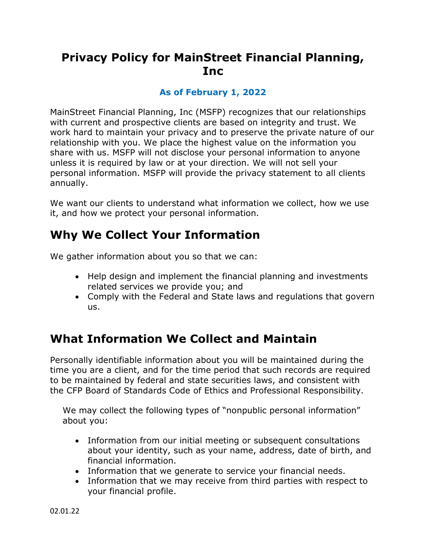# **Privacy Policy for MainStreet Financial Planning, Inc**

#### **As of February 1, 2022**

MainStreet Financial Planning, Inc (MSFP) recognizes that our relationships with current and prospective clients are based on integrity and trust. We work hard to maintain your privacy and to preserve the private nature of our relationship with you. We place the highest value on the information you share with us. MSFP will not disclose your personal information to anyone unless it is required by law or at your direction. We will not sell your personal information. MSFP will provide the privacy statement to all clients annually.

We want our clients to understand what information we collect, how we use it, and how we protect your personal information.

### **Why We Collect Your Information**

We gather information about you so that we can:

- Help design and implement the financial planning and investments related services we provide you; and
- Comply with the Federal and State laws and regulations that govern us.

## **What Information We Collect and Maintain**

Personally identifiable information about you will be maintained during the time you are a client, and for the time period that such records are required to be maintained by federal and state securities laws, and consistent with the CFP Board of Standards Code of Ethics and Professional Responsibility.

We may collect the following types of "nonpublic personal information" about you:

- Information from our initial meeting or subsequent consultations about your identity, such as your name, address, date of birth, and financial information.
- Information that we generate to service your financial needs.
- Information that we may receive from third parties with respect to your financial profile.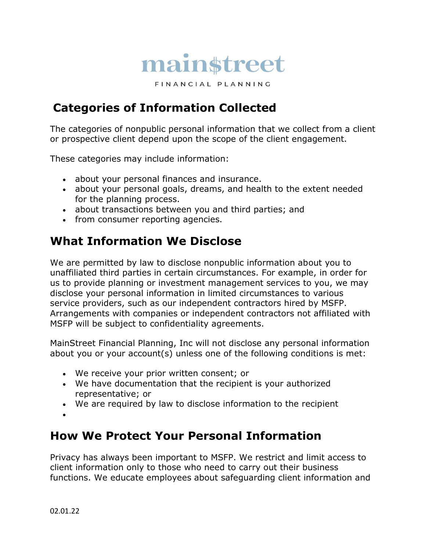

FINANCIAL PLANNING

# **Categories of Information Collected**

The categories of nonpublic personal information that we collect from a client or prospective client depend upon the scope of the client engagement.

These categories may include information:

- about your personal finances and insurance.
- about your personal goals, dreams, and health to the extent needed for the planning process.
- about transactions between you and third parties; and
- from consumer reporting agencies.

# **What Information We Disclose**

We are permitted by law to disclose nonpublic information about you to unaffiliated third parties in certain circumstances. For example, in order for us to provide planning or investment management services to you, we may disclose your personal information in limited circumstances to various service providers, such as our independent contractors hired by MSFP. Arrangements with companies or independent contractors not affiliated with MSFP will be subject to confidentiality agreements.

MainStreet Financial Planning, Inc will not disclose any personal information about you or your account(s) unless one of the following conditions is met:

- We receive your prior written consent; or
- We have documentation that the recipient is your authorized representative; or
- We are required by law to disclose information to the recipient
- •

# **How We Protect Your Personal Information**

Privacy has always been important to MSFP. We restrict and limit access to client information only to those who need to carry out their business functions. We educate employees about safeguarding client information and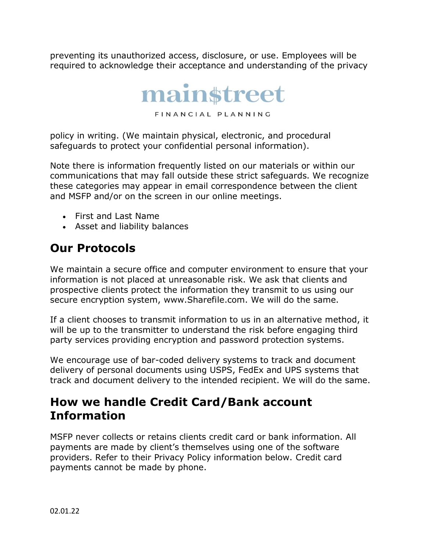preventing its unauthorized access, disclosure, or use. Employees will be required to acknowledge their acceptance and understanding of the privacy



FINANCIAL PLANNING

policy in writing. (We maintain physical, electronic, and procedural safeguards to protect your confidential personal information).

Note there is information frequently listed on our materials or within our communications that may fall outside these strict safeguards. We recognize these categories may appear in email correspondence between the client and MSFP and/or on the screen in our online meetings.

- First and Last Name
- Asset and liability balances

# **Our Protocols**

We maintain a secure office and computer environment to ensure that your information is not placed at unreasonable risk. We ask that clients and prospective clients protect the information they transmit to us using our secure encryption system, www.Sharefile.com. We will do the same.

If a client chooses to transmit information to us in an alternative method, it will be up to the transmitter to understand the risk before engaging third party services providing encryption and password protection systems.

We encourage use of bar-coded delivery systems to track and document delivery of personal documents using USPS, FedEx and UPS systems that track and document delivery to the intended recipient. We will do the same.

# **How we handle Credit Card/Bank account Information**

MSFP never collects or retains clients credit card or bank information. All payments are made by client's themselves using one of the software providers. Refer to their Privacy Policy information below. Credit card payments cannot be made by phone.